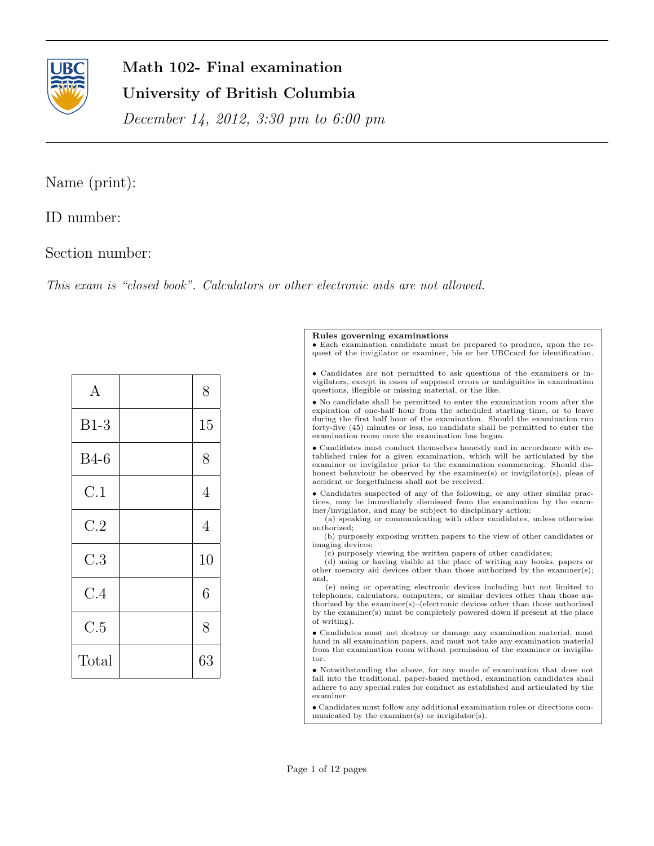

# Math 102- Final examination University of British Columbia

December 14, 2012, 3:30 pm to 6:00 pm

## Name (print):

ID number:

### Section number:

This exam is "closed book". Calculators or other electronic aids are not allowed.

| $\mathbf{A}$ | 8              |
|--------------|----------------|
| $B1-3$       | 15             |
| <b>B</b> 4-6 | 8              |
| C.1          | $\overline{4}$ |
| C.2          | 4              |
| C.3          | 10             |
| C.4          | 6              |
| C.5          | 8              |
| Total        | 63             |

#### Rules governing examinations

• Each examination candidate must be prepared to produce, upon the request of the invigilator or examiner, his or her UBCcard for identification.

• Candidates are not permitted to ask questions of the examiners or invigilators, except in cases of supposed errors or ambiguities in examination questions, illegible or missing material, or the like.

 $\bullet$  No candidate shall be permitted to enter the examination room after the expiration of one-half hour from the scheduled starting time, or to leave during the first half hour of the examination. Should the examination run forty-five (45) minutes or less, no candidate shall be permitted to enter the examination room once the examination has begun.

• Candidates must conduct themselves honestly and in accordance with established rules for a given examination, which will be articulated by the examiner or invigilator prior to the examination commencing. Should dishonest behaviour be observed by the examiner(s) or invigilator(s), pleas of accident or forgetfulness shall not be received.

• Candidates suspected of any of the following, or any other similar practices, may be immediately dismissed from the examination by the examiner/invigilator, and may be subject to disciplinary action:

(a) speaking or communicating with other candidates, unless otherwise authorized;

(b) purposely exposing written papers to the view of other candidates or imaging devices;

(c) purposely viewing the written papers of other candidates;

(d) using or having visible at the place of writing any books, papers or other memory aid devices other than those authorized by the examiner(s); and,

(e) using or operating electronic devices including but not limited to telephones, calculators, computers, or similar devices other than those authorized by the examiner(s)–(electronic devices other than those authorized by the examiner(s) must be completely powered down if present at the place of writing).

 $\bullet$  Candidates must not destroy or damage any examination material, must hand in all examination papers, and must not take any examination material from the examination room without permission of the examiner or invigilator.

• Notwithstanding the above, for any mode of examination that does not fall into the traditional, paper-based method, examination candidates shall adhere to any special rules for conduct as established and articulated by the examiner.

• Candidates must follow any additional examination rules or directions communicated by the examiner(s) or invigilator(s).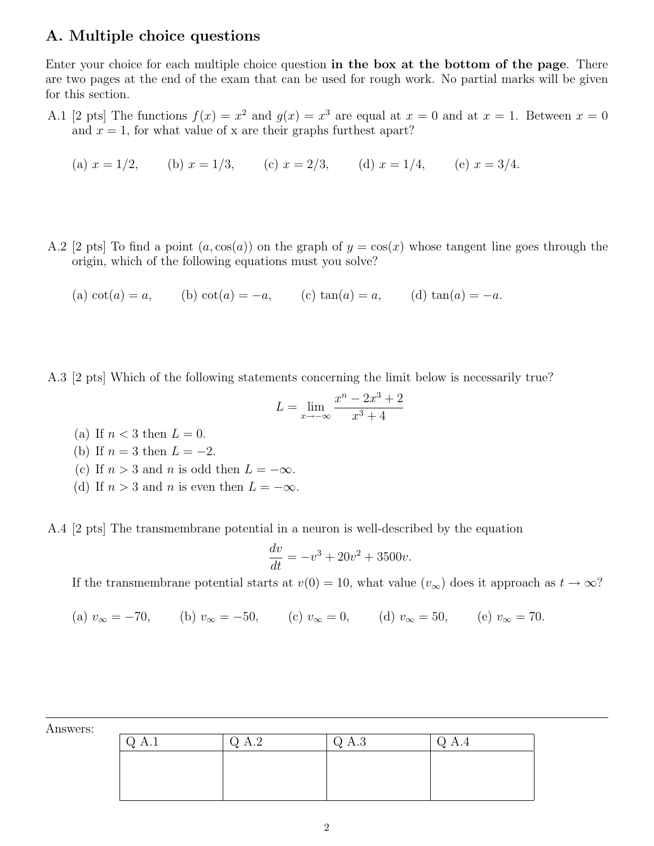### A. Multiple choice questions

Enter your choice for each multiple choice question in the box at the bottom of the page. There are two pages at the end of the exam that can be used for rough work. No partial marks will be given for this section.

A.1 [2 pts] The functions  $f(x) = x^2$  and  $g(x) = x^3$  are equal at  $x = 0$  and at  $x = 1$ . Between  $x = 0$ and  $x = 1$ , for what value of x are their graphs furthest apart?

(a) 
$$
x = 1/2
$$
, (b)  $x = 1/3$ , (c)  $x = 2/3$ , (d)  $x = 1/4$ , (e)  $x = 3/4$ .

A.2 [2 pts] To find a point  $(a, \cos(a))$  on the graph of  $y = \cos(x)$  whose tangent line goes through the origin, which of the following equations must you solve?

(a)  $\cot(a) = a$ , (b)  $\cot(a) = -a$ , (c)  $\tan(a) = a$ , (d)  $\tan(a) = -a$ .

A.3 [2 pts] Which of the following statements concerning the limit below is necessarily true?

$$
L = \lim_{x \to -\infty} \frac{x^n - 2x^3 + 2}{x^3 + 4}
$$

(a) If  $n < 3$  then  $L = 0$ . (b) If  $n = 3$  then  $L = -2$ . (c) If  $n > 3$  and n is odd then  $L = -\infty$ . (d) If  $n > 3$  and n is even then  $L = -\infty$ .

A.4 [2 pts] The transmembrane potential in a neuron is well-described by the equation

$$
\frac{dv}{dt} = -v^3 + 20v^2 + 3500v.
$$

If the transmembrane potential starts at  $v(0) = 10$ , what value  $(v_{\infty})$  does it approach as  $t \to \infty$ ?

(a) 
$$
v_{\infty} = -70
$$
, (b)  $v_{\infty} = -50$ , (c)  $v_{\infty} = 0$ , (d)  $v_{\infty} = 50$ , (e)  $v_{\infty} = 70$ .

| $\bigcirc$ A.1 | Q A.2 | Q A.3 | $Q$ A.4 |
|----------------|-------|-------|---------|
|                |       |       |         |
|                |       |       |         |
|                |       |       |         |

Answers: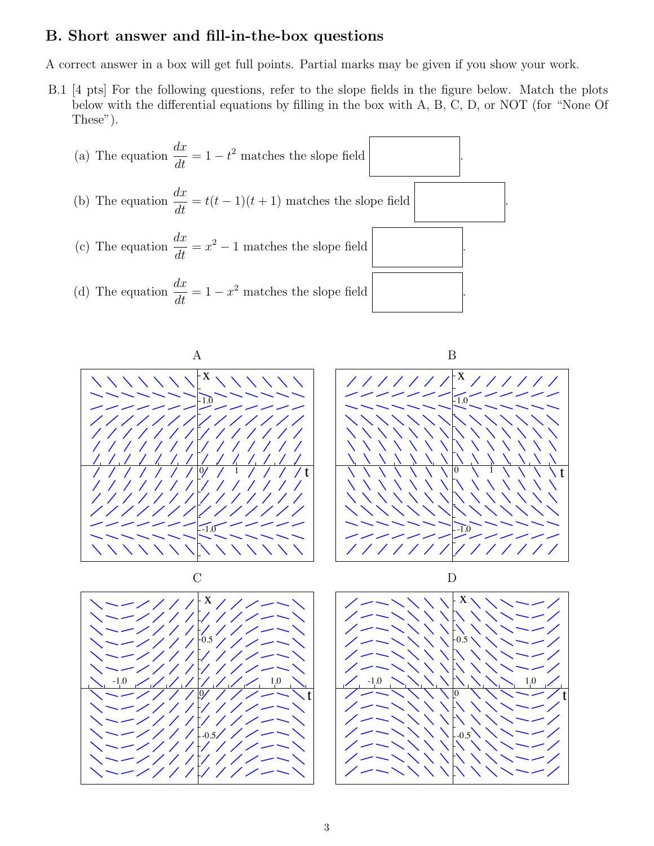#### B. Short answer and fill-in-the-box questions

A correct answer in a box will get full points. Partial marks may be given if you show your work.

B.1 [4 pts] For the following questions, refer to the slope fields in the figure below. Match the plots below with the differential equations by filling in the box with A, B, C, D, or NOT (for "None Of These").





t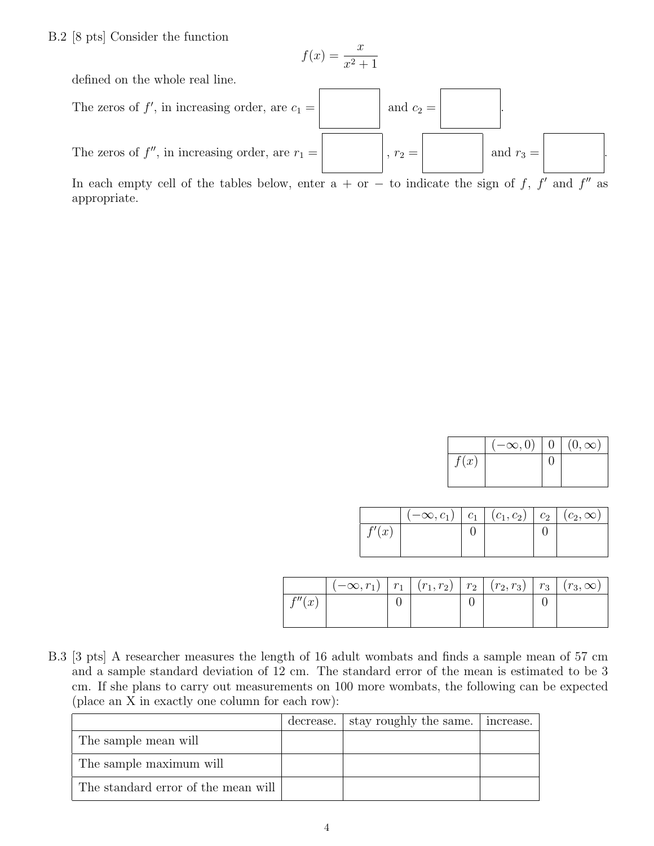#### B.2 [8 pts] Consider the function

$$
f(x) = \frac{x}{x^2 + 1}
$$

defined on the whole real line.



In each empty cell of the tables below, enter  $a + or - to$  indicate the sign of f, f' and f'' as appropriate.

|      | $(-\infty,0)$ | $\mid (0,\infty)$ |
|------|---------------|-------------------|
| f(x) |               |                   |
|      |               |                   |

| $(-\infty,c_1)   c_1   (c_1,c_2)   c_2   (c_2,\infty)$ |  |  |
|--------------------------------------------------------|--|--|
|                                                        |  |  |
|                                                        |  |  |

|                              | $(-\infty, r_1)$ | $r_1$   $(r_1, r_2)$   $r_2$   $(r_2, r_3)$ |  | $r_3$ | $(r_3,\infty)$ |
|------------------------------|------------------|---------------------------------------------|--|-------|----------------|
| f''(r)<br>$\cdot$ $\omega$ . |                  |                                             |  |       |                |
|                              |                  |                                             |  |       |                |

B.3 [3 pts] A researcher measures the length of 16 adult wombats and finds a sample mean of 57 cm and a sample standard deviation of 12 cm. The standard error of the mean is estimated to be 3 cm. If she plans to carry out measurements on 100 more wombats, the following can be expected (place an X in exactly one column for each row):

|                                     | decrease. I stay roughly the same. | increase. |
|-------------------------------------|------------------------------------|-----------|
| The sample mean will                |                                    |           |
| The sample maximum will             |                                    |           |
| The standard error of the mean will |                                    |           |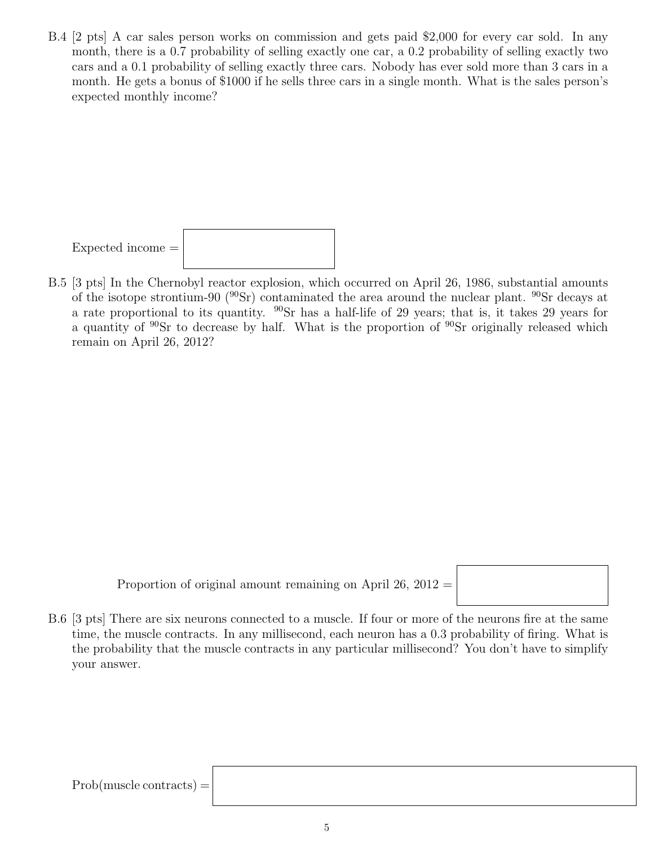B.4 [2 pts] A car sales person works on commission and gets paid \$2,000 for every car sold. In any month, there is a 0.7 probability of selling exactly one car, a 0.2 probability of selling exactly two cars and a 0.1 probability of selling exactly three cars. Nobody has ever sold more than 3 cars in a month. He gets a bonus of \$1000 if he sells three cars in a single month. What is the sales person's expected monthly income?



B.5 [3 pts] In the Chernobyl reactor explosion, which occurred on April 26, 1986, substantial amounts of the isotope strontium-90 ( $^{90}Sr$ ) contaminated the area around the nuclear plant.  $^{90}Sr$  decays at a rate proportional to its quantity.  $^{90}Sr$  has a half-life of 29 years; that is, it takes 29 years for a quantity of <sup>90</sup>Sr to decrease by half. What is the proportion of <sup>90</sup>Sr originally released which remain on April 26, 2012?

Proportion of original amount remaining on April  $26, 2012 =$ 



B.6 [3 pts] There are six neurons connected to a muscle. If four or more of the neurons fire at the same time, the muscle contracts. In any millisecond, each neuron has a 0.3 probability of firing. What is the probability that the muscle contracts in any particular millisecond? You don't have to simplify your answer.

 $Prob(muscle contrast) =$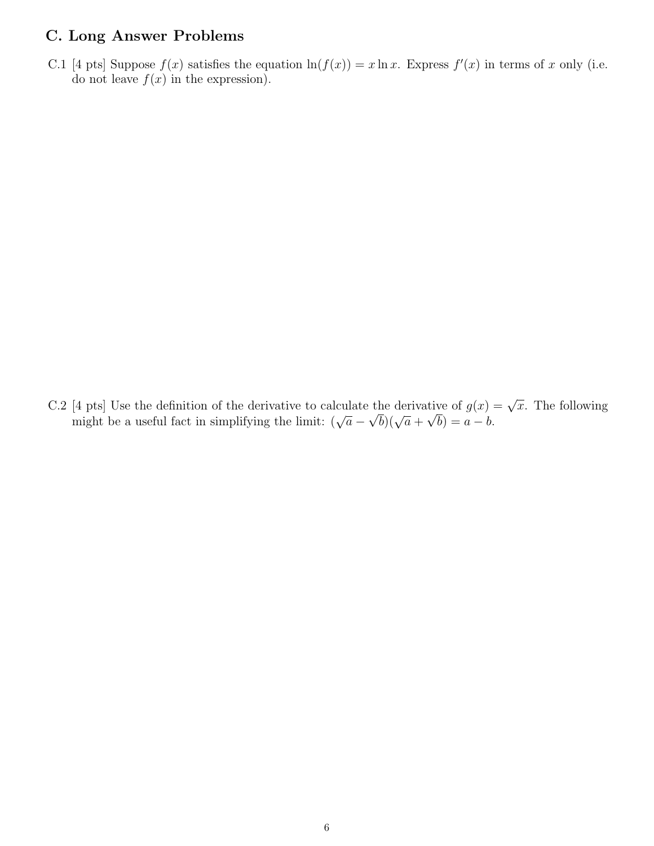#### C. Long Answer Problems

C.1 [4 pts] Suppose  $f(x)$  satisfies the equation  $\ln(f(x)) = x \ln x$ . Express  $f'(x)$  in terms of x only (i.e. do not leave  $f(x)$  in the expression).

C.2 [4 pts] Use the definition of the derivative to calculate the derivative of  $g(x) = \sqrt{x}$ . The following might be a useful fact in simplifying the limit:  $(\sqrt{a} - \sqrt{b})(\sqrt{a} + \sqrt{b}) = a - b$ .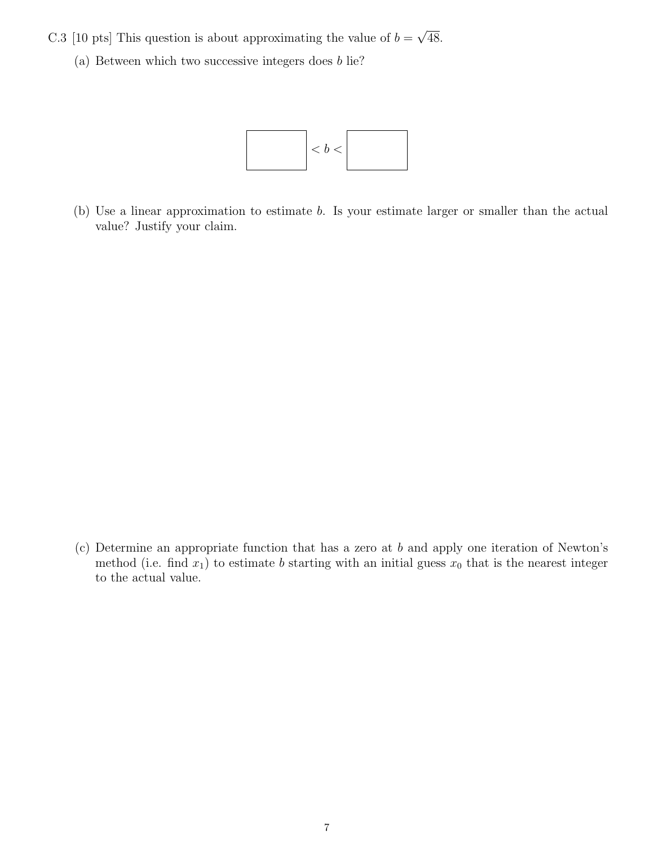- C.3 [10 pts] This question is about approximating the value of  $b =$ √ 48.
	- (a) Between which two successive integers does b lie?



(b) Use a linear approximation to estimate b. Is your estimate larger or smaller than the actual value? Justify your claim.

(c) Determine an appropriate function that has a zero at b and apply one iteration of Newton's method (i.e. find  $x_1$ ) to estimate b starting with an initial guess  $x_0$  that is the nearest integer to the actual value.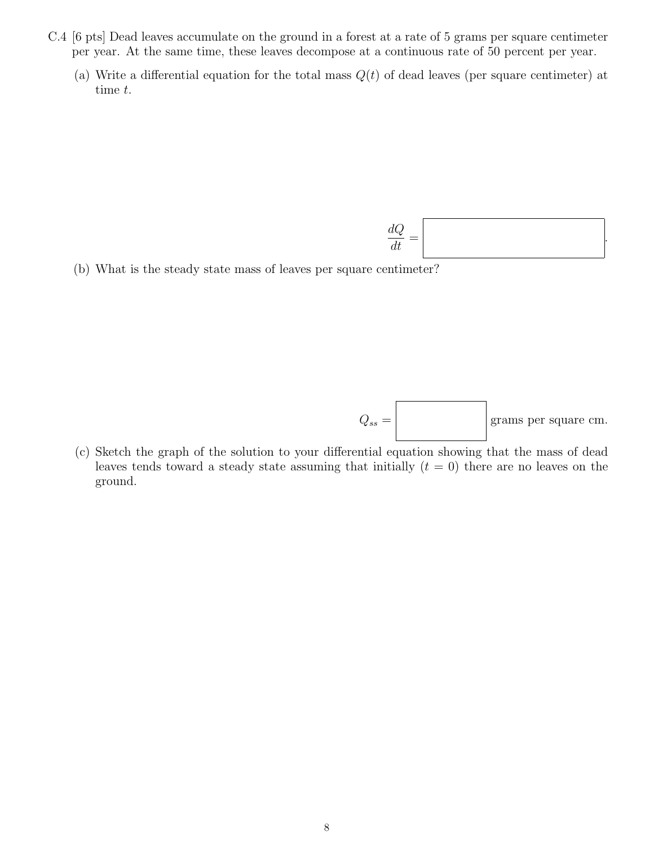- C.4 [6 pts] Dead leaves accumulate on the ground in a forest at a rate of 5 grams per square centimeter per year. At the same time, these leaves decompose at a continuous rate of 50 percent per year.
	- (a) Write a differential equation for the total mass  $Q(t)$  of dead leaves (per square centimeter) at time t.

 $dQ$  $\frac{d\mathbf{d}t}{dt}$  = .

(b) What is the steady state mass of leaves per square centimeter?

 $Q_{ss} =$  grams per square cm.

(c) Sketch the graph of the solution to your differential equation showing that the mass of dead leaves tends toward a steady state assuming that initially  $(t = 0)$  there are no leaves on the ground.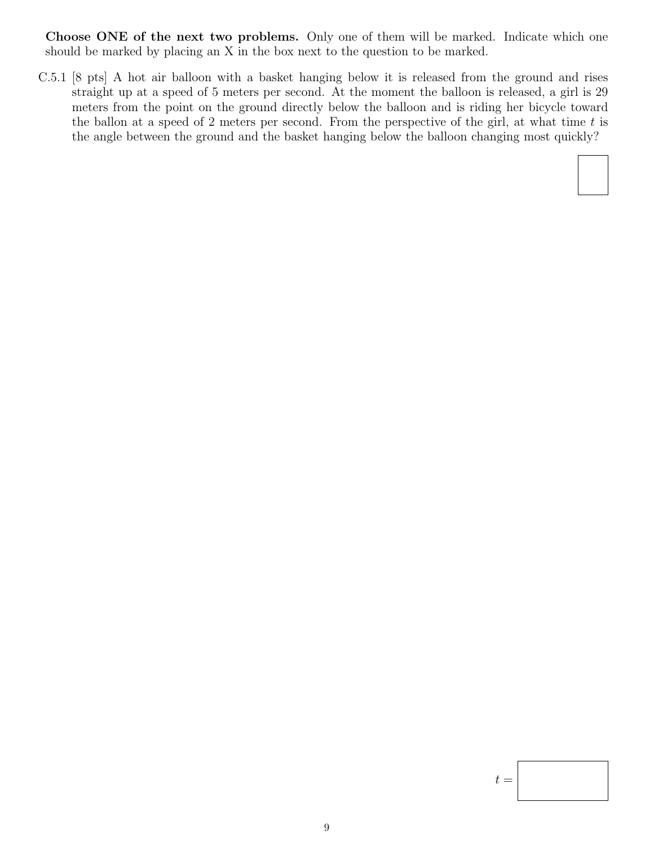Choose ONE of the next two problems. Only one of them will be marked. Indicate which one should be marked by placing an X in the box next to the question to be marked.

C.5.1 [8 pts] A hot air balloon with a basket hanging below it is released from the ground and rises straight up at a speed of 5 meters per second. At the moment the balloon is released, a girl is 29 meters from the point on the ground directly below the balloon and is riding her bicycle toward the ballon at a speed of 2 meters per second. From the perspective of the girl, at what time  $t$  is the angle between the ground and the basket hanging below the balloon changing most quickly?



 $t =$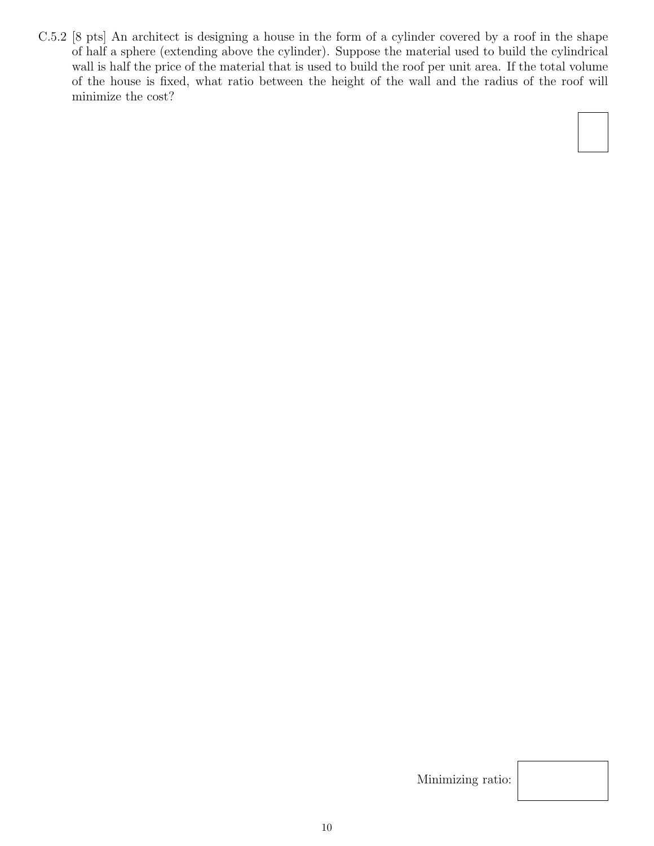C.5.2 [8 pts] An architect is designing a house in the form of a cylinder covered by a roof in the shape of half a sphere (extending above the cylinder). Suppose the material used to build the cylindrical wall is half the price of the material that is used to build the roof per unit area. If the total volume of the house is fixed, what ratio between the height of the wall and the radius of the roof will minimize the cost?

Minimizing ratio: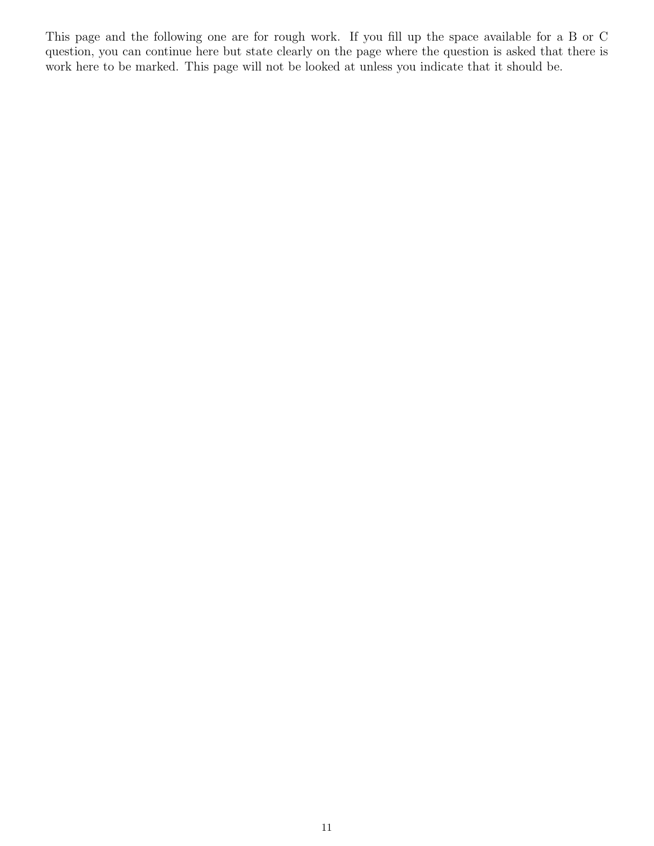This page and the following one are for rough work. If you fill up the space available for a B or C question, you can continue here but state clearly on the page where the question is asked that there is work here to be marked. This page will not be looked at unless you indicate that it should be.